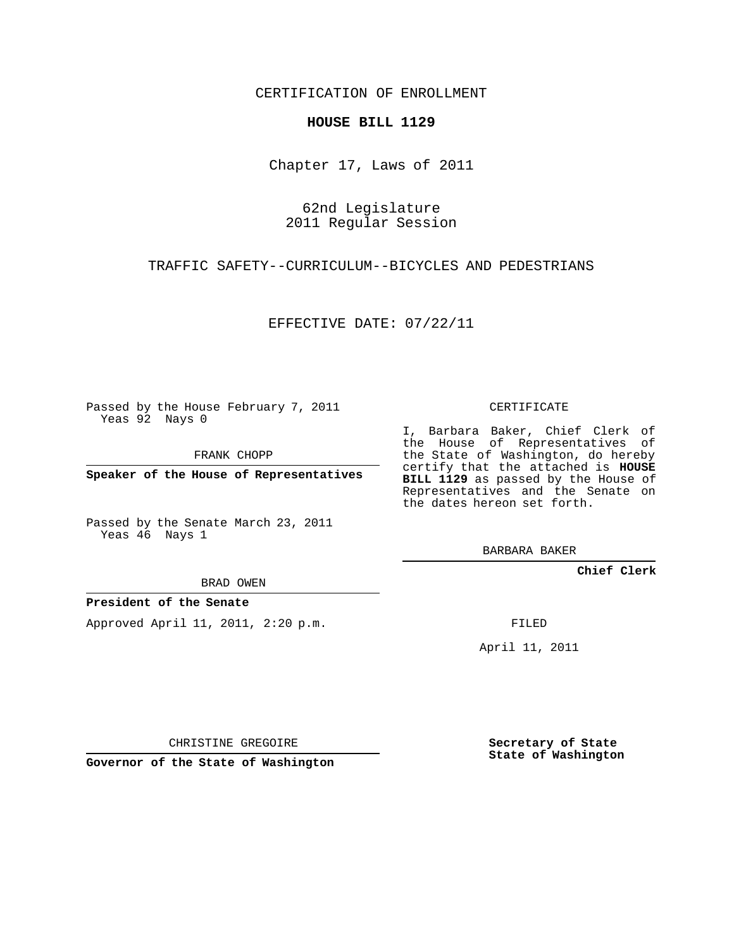CERTIFICATION OF ENROLLMENT

## **HOUSE BILL 1129**

Chapter 17, Laws of 2011

62nd Legislature 2011 Regular Session

TRAFFIC SAFETY--CURRICULUM--BICYCLES AND PEDESTRIANS

EFFECTIVE DATE: 07/22/11

Passed by the House February 7, 2011 Yeas 92 Nays 0

FRANK CHOPP

**Speaker of the House of Representatives**

Passed by the Senate March 23, 2011 Yeas 46 Nays 1

I, Barbara Baker, Chief Clerk of

the House of Representatives of the State of Washington, do hereby certify that the attached is **HOUSE BILL 1129** as passed by the House of Representatives and the Senate on the dates hereon set forth.

CERTIFICATE

BARBARA BAKER

**Chief Clerk**

BRAD OWEN

## **President of the Senate**

Approved April 11, 2011, 2:20 p.m.

FILED

April 11, 2011

CHRISTINE GREGOIRE

**Governor of the State of Washington**

**Secretary of State State of Washington**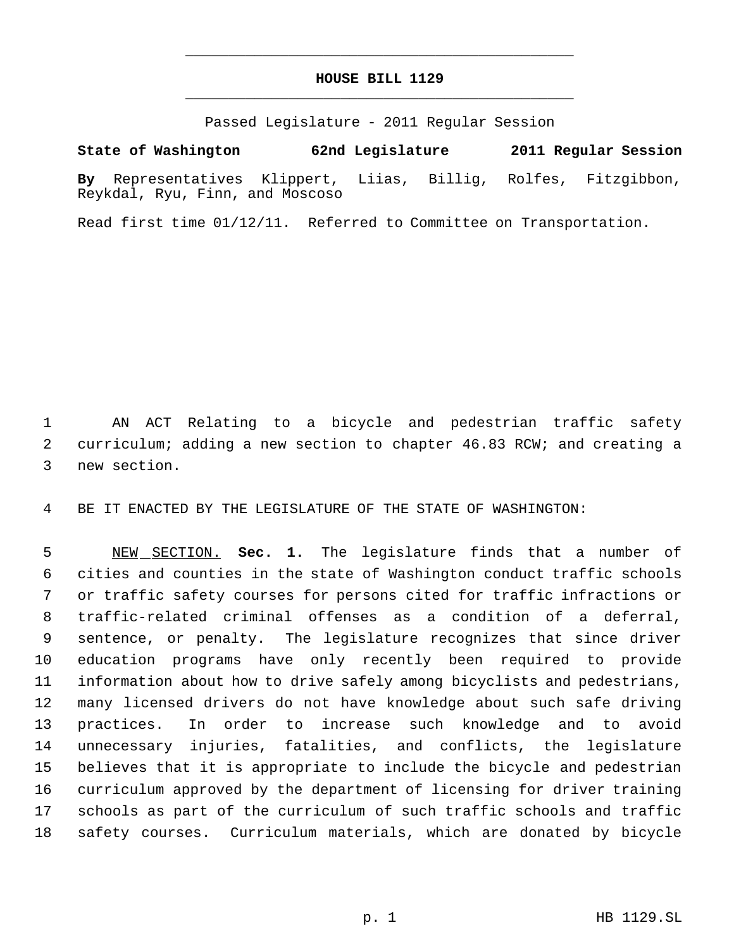## **HOUSE BILL 1129** \_\_\_\_\_\_\_\_\_\_\_\_\_\_\_\_\_\_\_\_\_\_\_\_\_\_\_\_\_\_\_\_\_\_\_\_\_\_\_\_\_\_\_\_\_

\_\_\_\_\_\_\_\_\_\_\_\_\_\_\_\_\_\_\_\_\_\_\_\_\_\_\_\_\_\_\_\_\_\_\_\_\_\_\_\_\_\_\_\_\_

Passed Legislature - 2011 Regular Session

**By** Representatives Klippert, Liias, Billig, Rolfes, Fitzgibbon, Reykdal, Ryu, Finn, and Moscoso

**State of Washington 62nd Legislature 2011 Regular Session**

Read first time 01/12/11. Referred to Committee on Transportation.

 AN ACT Relating to a bicycle and pedestrian traffic safety curriculum; adding a new section to chapter 46.83 RCW; and creating a new section.

BE IT ENACTED BY THE LEGISLATURE OF THE STATE OF WASHINGTON:

 NEW SECTION. **Sec. 1.** The legislature finds that a number of cities and counties in the state of Washington conduct traffic schools or traffic safety courses for persons cited for traffic infractions or traffic-related criminal offenses as a condition of a deferral, sentence, or penalty. The legislature recognizes that since driver education programs have only recently been required to provide information about how to drive safely among bicyclists and pedestrians, many licensed drivers do not have knowledge about such safe driving practices. In order to increase such knowledge and to avoid unnecessary injuries, fatalities, and conflicts, the legislature believes that it is appropriate to include the bicycle and pedestrian curriculum approved by the department of licensing for driver training schools as part of the curriculum of such traffic schools and traffic safety courses. Curriculum materials, which are donated by bicycle